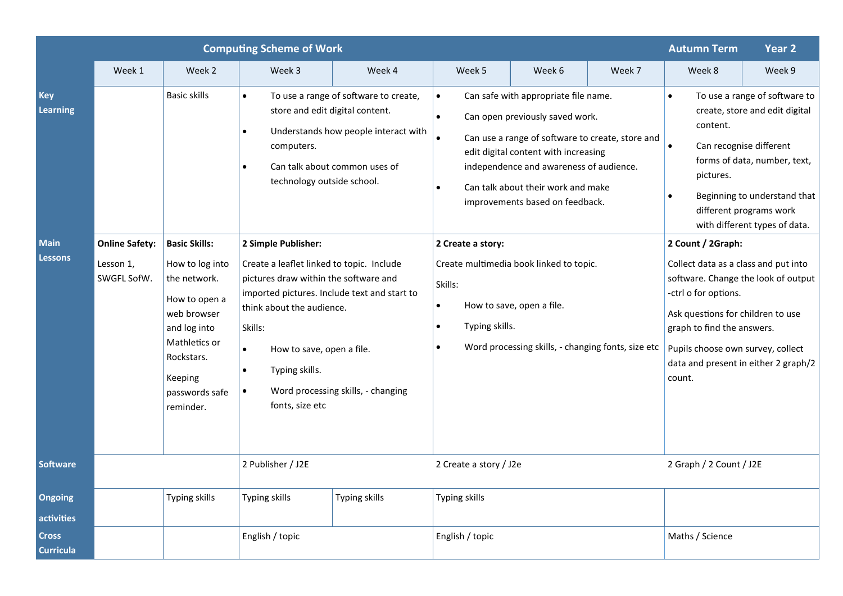|                                                                |                                                   |                                                                                                                                                                                                         | <b>Computing Scheme of Work</b>                                                                                                                                                                                                                                                                                                                                                                                                                                                                                                                                                          |               |                                                                          |                                                                                                                                                                                                                                                                                                                                                                                                                                                              | <b>Autumn Term</b> | Year 2                  |                                                                                                                                                                                                                                                                                                                                                                                                                                                                                                                                                    |  |
|----------------------------------------------------------------|---------------------------------------------------|---------------------------------------------------------------------------------------------------------------------------------------------------------------------------------------------------------|------------------------------------------------------------------------------------------------------------------------------------------------------------------------------------------------------------------------------------------------------------------------------------------------------------------------------------------------------------------------------------------------------------------------------------------------------------------------------------------------------------------------------------------------------------------------------------------|---------------|--------------------------------------------------------------------------|--------------------------------------------------------------------------------------------------------------------------------------------------------------------------------------------------------------------------------------------------------------------------------------------------------------------------------------------------------------------------------------------------------------------------------------------------------------|--------------------|-------------------------|----------------------------------------------------------------------------------------------------------------------------------------------------------------------------------------------------------------------------------------------------------------------------------------------------------------------------------------------------------------------------------------------------------------------------------------------------------------------------------------------------------------------------------------------------|--|
|                                                                | Week 1                                            | Week 2                                                                                                                                                                                                  | Week 3                                                                                                                                                                                                                                                                                                                                                                                                                                                                                                                                                                                   | Week 4        | Week 5                                                                   | Week 6                                                                                                                                                                                                                                                                                                                                                                                                                                                       | Week 7             | Week 8                  | Week 9                                                                                                                                                                                                                                                                                                                                                                                                                                                                                                                                             |  |
| <b>Key</b><br><b>Learning</b><br><b>Main</b><br><b>Lessons</b> | <b>Online Safety:</b><br>Lesson 1,<br>SWGFL SofW. | <b>Basic skills</b><br><b>Basic Skills:</b><br>How to log into<br>the network.<br>How to open a<br>web browser<br>and log into<br>Mathletics or<br>Rockstars.<br>Keeping<br>passwords safe<br>reminder. | To use a range of software to create,<br>$\bullet$<br>store and edit digital content.<br>Understands how people interact with<br>$\bullet$<br>computers.<br>Can talk about common uses of<br>$\bullet$<br>technology outside school.<br>2 Simple Publisher:<br>Create a leaflet linked to topic. Include<br>pictures draw within the software and<br>imported pictures. Include text and start to<br>think about the audience.<br>Skills:<br>How to save, open a file.<br>$\bullet$<br>Typing skills.<br>$\bullet$<br>Word processing skills, - changing<br>$\bullet$<br>fonts, size etc |               | $\bullet$<br>$\bullet$<br>Skills:<br>$\bullet$<br>$\bullet$<br>$\bullet$ | Can safe with appropriate file name.<br>Can open previously saved work.<br>Can use a range of software to create, store and<br>edit digital content with increasing<br>independence and awareness of audience.<br>Can talk about their work and make<br>improvements based on feedback.<br>2 Create a story:<br>Create multimedia book linked to topic.<br>How to save, open a file.<br>Typing skills.<br>Word processing skills, - changing fonts, size etc |                    |                         | To use a range of software to<br>$\bullet$<br>create, store and edit digital<br>content.<br>Can recognise different<br>forms of data, number, text,<br>pictures.<br>Beginning to understand that<br>different programs work<br>with different types of data.<br>2 Count / 2Graph:<br>Collect data as a class and put into<br>software. Change the look of output<br>-ctrl o for options.<br>Ask questions for children to use<br>graph to find the answers.<br>Pupils choose own survey, collect<br>data and present in either 2 graph/2<br>count. |  |
| <b>Software</b>                                                |                                                   |                                                                                                                                                                                                         | 2 Publisher / J2E                                                                                                                                                                                                                                                                                                                                                                                                                                                                                                                                                                        |               | 2 Create a story / J2e                                                   |                                                                                                                                                                                                                                                                                                                                                                                                                                                              |                    | 2 Graph / 2 Count / J2E |                                                                                                                                                                                                                                                                                                                                                                                                                                                                                                                                                    |  |
| Ongoing<br>activities                                          |                                                   | Typing skills                                                                                                                                                                                           | Typing skills                                                                                                                                                                                                                                                                                                                                                                                                                                                                                                                                                                            | Typing skills | <b>Typing skills</b>                                                     |                                                                                                                                                                                                                                                                                                                                                                                                                                                              |                    |                         |                                                                                                                                                                                                                                                                                                                                                                                                                                                                                                                                                    |  |
| <b>Cross</b><br><b>Curricula</b>                               |                                                   |                                                                                                                                                                                                         | English / topic                                                                                                                                                                                                                                                                                                                                                                                                                                                                                                                                                                          |               | English / topic                                                          |                                                                                                                                                                                                                                                                                                                                                                                                                                                              |                    | Maths / Science         |                                                                                                                                                                                                                                                                                                                                                                                                                                                                                                                                                    |  |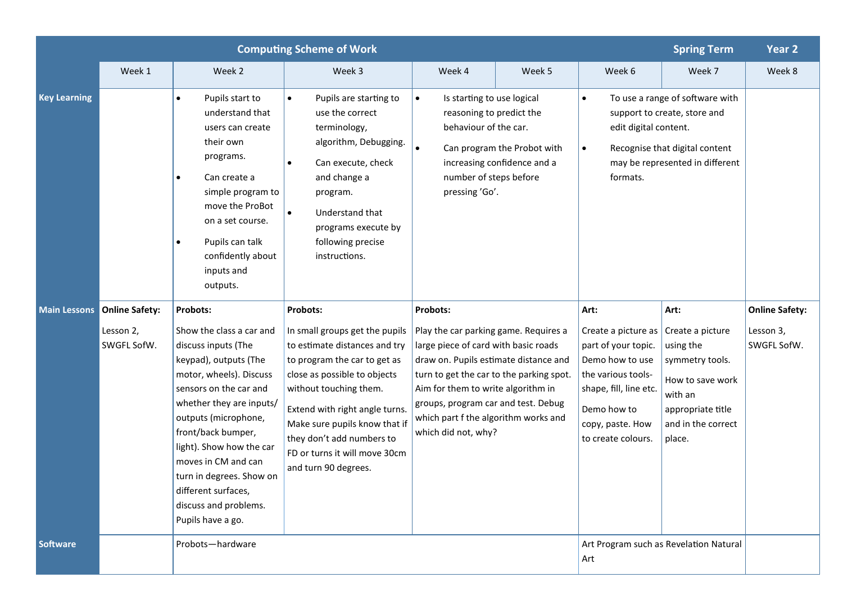| <b>Computing Scheme of Work</b><br><b>Spring Term</b> |                          |                                                                                                                                                                                                                                                                                                                                                             |                                                                                                                                                                                                                                                                                                                    |                                                                                                                                                                                                                                                                                                                |                                               |                                                                                                                                                                                                     |                                                                                                                                      |                          |
|-------------------------------------------------------|--------------------------|-------------------------------------------------------------------------------------------------------------------------------------------------------------------------------------------------------------------------------------------------------------------------------------------------------------------------------------------------------------|--------------------------------------------------------------------------------------------------------------------------------------------------------------------------------------------------------------------------------------------------------------------------------------------------------------------|----------------------------------------------------------------------------------------------------------------------------------------------------------------------------------------------------------------------------------------------------------------------------------------------------------------|-----------------------------------------------|-----------------------------------------------------------------------------------------------------------------------------------------------------------------------------------------------------|--------------------------------------------------------------------------------------------------------------------------------------|--------------------------|
|                                                       | Week 1                   | Week 2                                                                                                                                                                                                                                                                                                                                                      | Week 3                                                                                                                                                                                                                                                                                                             | Week 4                                                                                                                                                                                                                                                                                                         | Week 5                                        | Week 6                                                                                                                                                                                              | Week 7                                                                                                                               | Week 8                   |
| <b>Key Learning</b>                                   |                          | Pupils start to<br>$\bullet$<br>understand that<br>users can create<br>their own<br>programs.<br>Can create a<br>simple program to<br>move the ProBot<br>on a set course.<br>Pupils can talk<br>confidently about<br>inputs and<br>outputs.                                                                                                                 | Pupils are starting to<br>$\bullet$<br>use the correct<br>terminology,<br>algorithm, Debugging.<br>Can execute, check<br>$\bullet$<br>and change a<br>program.<br>$\bullet$<br>Understand that<br>programs execute by<br>following precise<br>instructions.                                                        | Is starting to use logical<br>$\bullet$<br>reasoning to predict the<br>behaviour of the car.<br>Can program the Probot with<br>$\bullet$<br>increasing confidence and a<br>number of steps before<br>pressing 'Go'.                                                                                            |                                               | To use a range of software with<br>$\bullet$<br>support to create, store and<br>edit digital content.<br>Recognise that digital content<br>$\bullet$<br>may be represented in different<br>formats. |                                                                                                                                      |                          |
| <b>Main Lessons</b>                                   | <b>Online Safety:</b>    | Probots:                                                                                                                                                                                                                                                                                                                                                    | Probots:                                                                                                                                                                                                                                                                                                           | <b>Probots:</b>                                                                                                                                                                                                                                                                                                |                                               | Art:                                                                                                                                                                                                | Art:                                                                                                                                 | <b>Online Safety:</b>    |
|                                                       | Lesson 2,<br>SWGFL SofW. | Show the class a car and<br>discuss inputs (The<br>keypad), outputs (The<br>motor, wheels). Discuss<br>sensors on the car and<br>whether they are inputs/<br>outputs (microphone,<br>front/back bumper,<br>light). Show how the car<br>moves in CM and can<br>turn in degrees. Show on<br>different surfaces,<br>discuss and problems.<br>Pupils have a go. | In small groups get the pupils<br>to estimate distances and try<br>to program the car to get as<br>close as possible to objects<br>without touching them.<br>Extend with right angle turns.<br>Make sure pupils know that if<br>they don't add numbers to<br>FD or turns it will move 30cm<br>and turn 90 degrees. | Play the car parking game. Requires a<br>large piece of card with basic roads<br>draw on. Pupils estimate distance and<br>turn to get the car to the parking spot.<br>Aim for them to write algorithm in<br>groups, program car and test. Debug<br>which part f the algorithm works and<br>which did not, why? |                                               | Create a picture as<br>part of your topic.<br>Demo how to use<br>the various tools-<br>shape, fill, line etc.<br>Demo how to<br>copy, paste. How<br>to create colours.                              | Create a picture<br>using the<br>symmetry tools.<br>How to save work<br>with an<br>appropriate title<br>and in the correct<br>place. | Lesson 3,<br>SWGFL SofW. |
| <b>Software</b>                                       | Probots-hardware         |                                                                                                                                                                                                                                                                                                                                                             |                                                                                                                                                                                                                                                                                                                    |                                                                                                                                                                                                                                                                                                                | Art Program such as Revelation Natural<br>Art |                                                                                                                                                                                                     |                                                                                                                                      |                          |